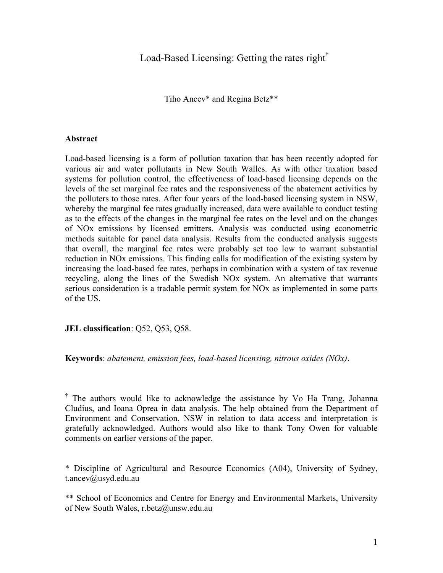Load-Based Licensing: Getting the rates right<sup>†</sup>

Tiho Ancev\* and Regina Betz\*\*

# **Abstract**

Load-based licensing is a form of pollution taxation that has been recently adopted for various air and water pollutants in New South Walles. As with other taxation based systems for pollution control, the effectiveness of load-based licensing depends on the levels of the set marginal fee rates and the responsiveness of the abatement activities by the polluters to those rates. After four years of the load-based licensing system in NSW, whereby the marginal fee rates gradually increased, data were available to conduct testing as to the effects of the changes in the marginal fee rates on the level and on the changes of NOx emissions by licensed emitters. Analysis was conducted using econometric methods suitable for panel data analysis. Results from the conducted analysis suggests that overall, the marginal fee rates were probably set too low to warrant substantial reduction in NOx emissions. This finding calls for modification of the existing system by increasing the load-based fee rates, perhaps in combination with a system of tax revenue recycling, along the lines of the Swedish NOx system. An alternative that warrants serious consideration is a tradable permit system for NOx as implemented in some parts of the US.

**JEL classification**: Q52, Q53, Q58.

**Keywords**: *abatement, emission fees, load-based licensing, nitrous oxides (NOx)*.

<sup>†</sup> The authors would like to acknowledge the assistance by Vo Ha Trang, Johanna Cludius, and Ioana Oprea in data analysis. The help obtained from the Department of Environment and Conservation, NSW in relation to data access and interpretation is gratefully acknowledged. Authors would also like to thank Tony Owen for valuable comments on earlier versions of the paper.

\* Discipline of Agricultural and Resource Economics (A04), University of Sydney, t.ancev@usyd.edu.au

\*\* School of Economics and Centre for Energy and Environmental Markets, University of New South Wales, r.betz@unsw.edu.au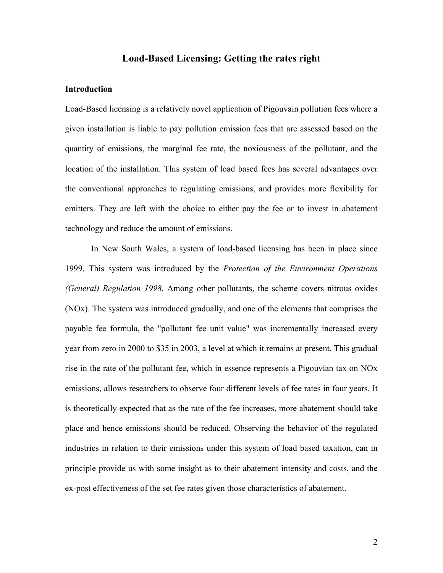# **Load-Based Licensing: Getting the rates right**

## **Introduction**

Load-Based licensing is a relatively novel application of Pigouvain pollution fees where a given installation is liable to pay pollution emission fees that are assessed based on the quantity of emissions, the marginal fee rate, the noxiousness of the pollutant, and the location of the installation. This system of load based fees has several advantages over the conventional approaches to regulating emissions, and provides more flexibility for emitters. They are left with the choice to either pay the fee or to invest in abatement technology and reduce the amount of emissions.

In New South Wales, a system of load-based licensing has been in place since 1999. This system was introduced by the *Protection of the Environment Operations (General) Regulation 1998*. Among other pollutants, the scheme covers nitrous oxides (NOx). The system was introduced gradually, and one of the elements that comprises the payable fee formula, the "pollutant fee unit value" was incrementally increased every year from zero in 2000 to \$35 in 2003, a level at which it remains at present. This gradual rise in the rate of the pollutant fee, which in essence represents a Pigouvian tax on NOx emissions, allows researchers to observe four different levels of fee rates in four years. It is theoretically expected that as the rate of the fee increases, more abatement should take place and hence emissions should be reduced. Observing the behavior of the regulated industries in relation to their emissions under this system of load based taxation, can in principle provide us with some insight as to their abatement intensity and costs, and the ex-post effectiveness of the set fee rates given those characteristics of abatement.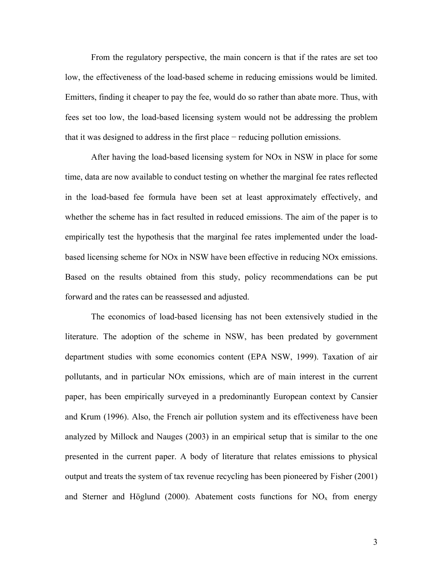From the regulatory perspective, the main concern is that if the rates are set too low, the effectiveness of the load-based scheme in reducing emissions would be limited. Emitters, finding it cheaper to pay the fee, would do so rather than abate more. Thus, with fees set too low, the load-based licensing system would not be addressing the problem that it was designed to address in the first place − reducing pollution emissions.

After having the load-based licensing system for NOx in NSW in place for some time, data are now available to conduct testing on whether the marginal fee rates reflected in the load-based fee formula have been set at least approximately effectively, and whether the scheme has in fact resulted in reduced emissions. The aim of the paper is to empirically test the hypothesis that the marginal fee rates implemented under the loadbased licensing scheme for NOx in NSW have been effective in reducing NOx emissions. Based on the results obtained from this study, policy recommendations can be put forward and the rates can be reassessed and adjusted.

The economics of load-based licensing has not been extensively studied in the literature. The adoption of the scheme in NSW, has been predated by government department studies with some economics content (EPA NSW, 1999). Taxation of air pollutants, and in particular NOx emissions, which are of main interest in the current paper, has been empirically surveyed in a predominantly European context by Cansier and Krum (1996). Also, the French air pollution system and its effectiveness have been analyzed by Millock and Nauges (2003) in an empirical setup that is similar to the one presented in the current paper. A body of literature that relates emissions to physical output and treats the system of tax revenue recycling has been pioneered by Fisher (2001) and Sterner and Höglund (2000). Abatement costs functions for  $NO<sub>x</sub>$  from energy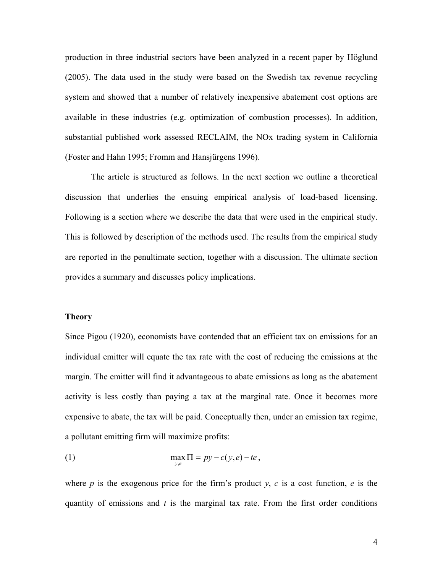production in three industrial sectors have been analyzed in a recent paper by Höglund (2005). The data used in the study were based on the Swedish tax revenue recycling system and showed that a number of relatively inexpensive abatement cost options are available in these industries (e.g. optimization of combustion processes). In addition, substantial published work assessed RECLAIM, the NOx trading system in California (Foster and Hahn 1995; Fromm and Hansjürgens 1996).

The article is structured as follows. In the next section we outline a theoretical discussion that underlies the ensuing empirical analysis of load-based licensing. Following is a section where we describe the data that were used in the empirical study. This is followed by description of the methods used. The results from the empirical study are reported in the penultimate section, together with a discussion. The ultimate section provides a summary and discusses policy implications.

#### **Theory**

Since Pigou (1920), economists have contended that an efficient tax on emissions for an individual emitter will equate the tax rate with the cost of reducing the emissions at the margin. The emitter will find it advantageous to abate emissions as long as the abatement activity is less costly than paying a tax at the marginal rate. Once it becomes more expensive to abate, the tax will be paid. Conceptually then, under an emission tax regime, a pollutant emitting firm will maximize profits:

(1) 
$$
\max_{y,e} \Pi = py - c(y,e) - te,
$$

where *p* is the exogenous price for the firm's product  $y$ , *c* is a cost function, *e* is the quantity of emissions and *t* is the marginal tax rate. From the first order conditions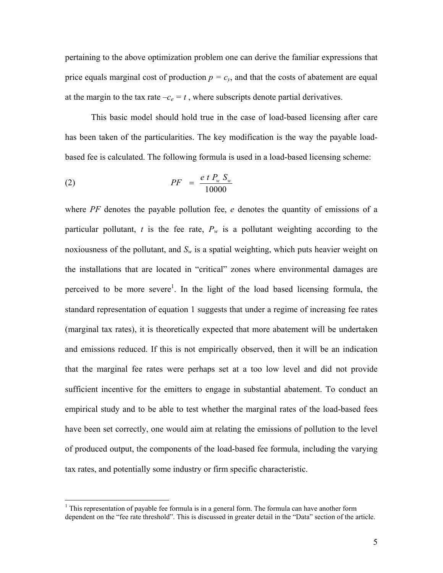pertaining to the above optimization problem one can derive the familiar expressions that price equals marginal cost of production  $p = c<sub>v</sub>$ , and that the costs of abatement are equal at the margin to the tax rate  $-c_e = t$ , where subscripts denote partial derivatives.

This basic model should hold true in the case of load-based licensing after care has been taken of the particularities. The key modification is the way the payable loadbased fee is calculated. The following formula is used in a load-based licensing scheme:

(2) 
$$
PF = \frac{e \ t \ P_w \ S_w}{10000}
$$

where *PF* denotes the payable pollution fee, *e* denotes the quantity of emissions of a particular pollutant, *t* is the fee rate,  $P_w$  is a pollutant weighting according to the noxiousness of the pollutant, and  $S_w$  is a spatial weighting, which puts heavier weight on the installations that are located in "critical" zones where environmental damages are perceived to be more severe<sup>[1](#page-4-0)</sup>. In the light of the load based licensing formula, the standard representation of equation 1 suggests that under a regime of increasing fee rates (marginal tax rates), it is theoretically expected that more abatement will be undertaken and emissions reduced. If this is not empirically observed, then it will be an indication that the marginal fee rates were perhaps set at a too low level and did not provide sufficient incentive for the emitters to engage in substantial abatement. To conduct an empirical study and to be able to test whether the marginal rates of the load-based fees have been set correctly, one would aim at relating the emissions of pollution to the level of produced output, the components of the load-based fee formula, including the varying tax rates, and potentially some industry or firm specific characteristic.

<span id="page-4-0"></span> $\frac{1}{1}$  $1$  This representation of payable fee formula is in a general form. The formula can have another form dependent on the "fee rate threshold". This is discussed in greater detail in the "Data" section of the article.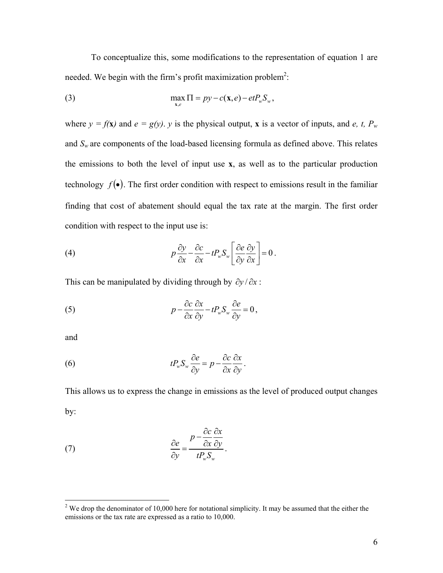To conceptualize this, some modifications to the representation of equation 1 are needed. We begin with the firm's profit maximization problem<sup>2</sup>:

(3) 
$$
\max_{\mathbf{x},e} \Pi = py - c(\mathbf{x},e) - etP_w S_w,
$$

where  $y = f(x)$  and  $e = g(y)$ , y is the physical output, x is a vector of inputs, and *e, t, P<sub>w</sub>* and  $S_w$  are components of the load-based licensing formula as defined above. This relates the emissions to both the level of input use **x**, as well as to the particular production technology  $f(\bullet)$ . The first order condition with respect to emissions result in the familiar finding that cost of abatement should equal the tax rate at the margin. The first order condition with respect to the input use is:

(4) 
$$
p \frac{\partial y}{\partial x} - \frac{\partial c}{\partial x} - t P_w S_w \left[ \frac{\partial e}{\partial y} \frac{\partial y}{\partial x} \right] = 0.
$$

This can be manipulated by dividing through by  $\partial y / \partial x$ :

(5) 
$$
p - \frac{\partial c}{\partial x} \frac{\partial x}{\partial y} - t P_w S_w \frac{\partial e}{\partial y} = 0,
$$

and

(6) 
$$
tP_w S_w \frac{\partial e}{\partial y} = p - \frac{\partial c}{\partial x} \frac{\partial x}{\partial y}.
$$

This allows us to express the change in emissions as the level of produced output changes by:

(7) 
$$
\frac{\partial e}{\partial y} = \frac{p - \frac{\partial c}{\partial x} \frac{\partial x}{\partial y}}{t P_w S_w}.
$$

<span id="page-5-0"></span><sup>&</sup>lt;sup>2</sup> We drop the denominator of 10,000 here for notational simplicity. It may be assumed that the either the emissions or the tax rate are expressed as a ratio to 10,000.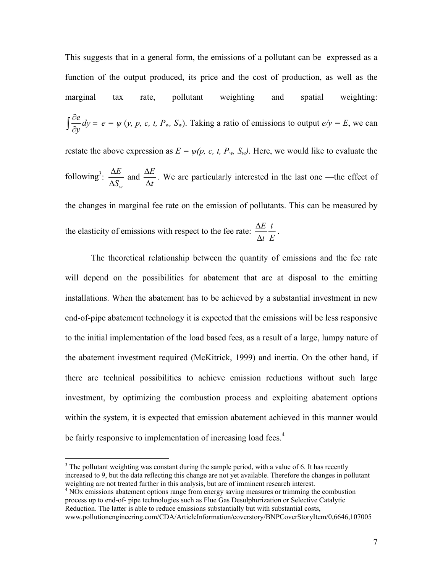This suggests that in a general form, the emissions of a pollutant can be expressed as a function of the output produced, its price and the cost of production, as well as the marginal tax rate, pollutant weighting and spatial weighting: *e dy*  $\int \frac{\partial e}{\partial y} dy = e = \psi(y, p, c, t, P_w, S_w)$ . Taking a ratio of emissions to output  $e/y = E$ , we can restate the above expression as  $E = \psi(p, c, t, P_w, S_w)$ . Here, we would like to evaluate the following<sup>[3](#page-6-0)</sup>:  $\frac{\Delta E}{\Delta E}$  and *w E*  $S_{w}$ <sup> $\Delta t$ </sup>  $\Delta E$   $\Delta$  $\Delta S_{w}$  and  $\Delta$ *<sup>E</sup>* . We are particularly interested in the last one —the effect of the changes in marginal fee rate on the emission of pollutants. This can be measured by the elasticity of emissions with respect to the fee rate:  $\frac{\Delta E}{\Delta t}$ *t E*  $\frac{\Delta E}{\Delta t} \frac{t}{E}$ .

The theoretical relationship between the quantity of emissions and the fee rate will depend on the possibilities for abatement that are at disposal to the emitting installations. When the abatement has to be achieved by a substantial investment in new end-of-pipe abatement technology it is expected that the emissions will be less responsive to the initial implementation of the load based fees, as a result of a large, lumpy nature of the abatement investment required (McKitrick, 1999) and inertia. On the other hand, if there are technical possibilities to achieve emission reductions without such large investment, by optimizing the combustion process and exploiting abatement options within the system, it is expected that emission abatement achieved in this manner would be fairly responsive to implementation of increasing load fees.<sup>[4](#page-6-1)</sup>

<span id="page-6-0"></span><sup>&</sup>lt;sup>3</sup>  $3$  The pollutant weighting was constant during the sample period, with a value of 6. It has recently increased to 9, but the data reflecting this change are not yet available. Therefore the changes in pollutant weighting are not treated further in this analysis, but are of imminent research interest. 4

<span id="page-6-1"></span><sup>&</sup>lt;sup>4</sup> NOx emissions abatement options range from energy saving measures or trimming the combustion process up to end-of- pipe technologies such as Flue Gas Desulphurization or Selective Catalytic Reduction. The latter is able to reduce emissions substantially but with substantial costs, www.pollutionengineering.com/CDA/ArticleInformation/coverstory/BNPCoverStoryItem/0,6646,107005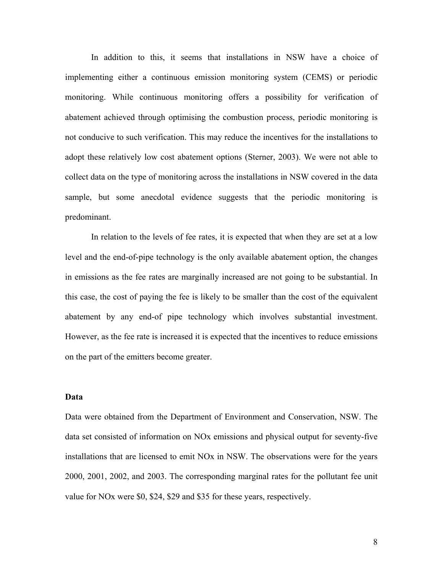In addition to this, it seems that installations in NSW have a choice of implementing either a continuous emission monitoring system (CEMS) or periodic monitoring. While continuous monitoring offers a possibility for verification of abatement achieved through optimising the combustion process, periodic monitoring is not conducive to such verification. This may reduce the incentives for the installations to adopt these relatively low cost abatement options (Sterner, 2003). We were not able to collect data on the type of monitoring across the installations in NSW covered in the data sample, but some anecdotal evidence suggests that the periodic monitoring is predominant.

In relation to the levels of fee rates, it is expected that when they are set at a low level and the end-of-pipe technology is the only available abatement option, the changes in emissions as the fee rates are marginally increased are not going to be substantial. In this case, the cost of paying the fee is likely to be smaller than the cost of the equivalent abatement by any end-of pipe technology which involves substantial investment. However, as the fee rate is increased it is expected that the incentives to reduce emissions on the part of the emitters become greater.

### **Data**

Data were obtained from the Department of Environment and Conservation, NSW. The data set consisted of information on NOx emissions and physical output for seventy-five installations that are licensed to emit NOx in NSW. The observations were for the years 2000, 2001, 2002, and 2003. The corresponding marginal rates for the pollutant fee unit value for NOx were \$0, \$24, \$29 and \$35 for these years, respectively.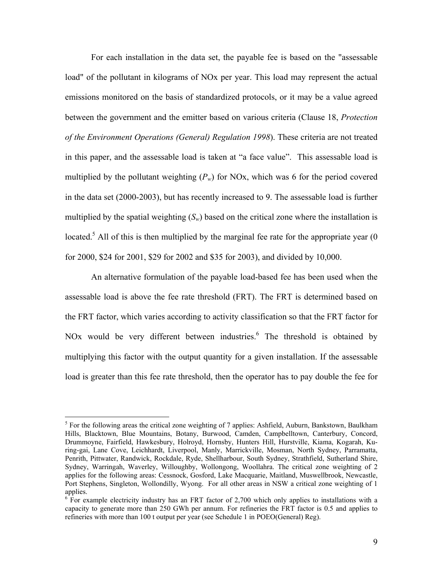For each installation in the data set, the payable fee is based on the "assessable load" of the pollutant in kilograms of NOx per year. This load may represent the actual emissions monitored on the basis of standardized protocols, or it may be a value agreed between the government and the emitter based on various criteria (Clause 18, *Protection of the Environment Operations (General) Regulation 1998*). These criteria are not treated in this paper, and the assessable load is taken at "a face value". This assessable load is multiplied by the pollutant weighting  $(P_w)$  for NO<sub>x</sub>, which was 6 for the period covered in the data set (2000-2003), but has recently increased to 9. The assessable load is further multiplied by the spatial weighting  $(S_w)$  based on the critical zone where the installation is located.<sup>[5](#page-8-0)</sup> All of this is then multiplied by the marginal fee rate for the appropriate year  $(0)$ for 2000, \$24 for 2001, \$29 for 2002 and \$35 for 2003), and divided by 10,000.

An alternative formulation of the payable load-based fee has been used when the assessable load is above the fee rate threshold (FRT). The FRT is determined based on the FRT factor, which varies according to activity classification so that the FRT factor for NOx would be very different between industries. $6$  The threshold is obtained by multiplying this factor with the output quantity for a given installation. If the assessable load is greater than this fee rate threshold, then the operator has to pay double the fee for

<span id="page-8-0"></span> <sup>5</sup>  $5$  For the following areas the critical zone weighting of 7 applies: Ashfield, Auburn, Bankstown, Baulkham Hills, Blacktown, Blue Mountains, Botany, Burwood, Camden, Campbelltown, Canterbury, Concord, Drummoyne, Fairfield, Hawkesbury, Holroyd, Hornsby, Hunters Hill, Hurstville, Kiama, Kogarah, Kuring-gai, Lane Cove, Leichhardt, Liverpool, Manly, Marrickville, Mosman, North Sydney, Parramatta, Penrith, Pittwater, Randwick, Rockdale, Ryde, Shellharbour, South Sydney, Strathfield, Sutherland Shire, Sydney, Warringah, Waverley, Willoughby, Wollongong, Woollahra. The critical zone weighting of 2 applies for the following areas: Cessnock, Gosford, Lake Macquarie, Maitland, Muswellbrook, Newcastle, Port Stephens, Singleton, Wollondilly, Wyong. For all other areas in NSW a critical zone weighting of 1 applies.

<span id="page-8-1"></span> $6.5$  For example electricity industry has an FRT factor of 2,700 which only applies to installations with a capacity to generate more than 250 GWh per annum. For refineries the FRT factor is 0.5 and applies to refineries with more than 100 t output per year (see Schedule 1 in POEO(General) Reg).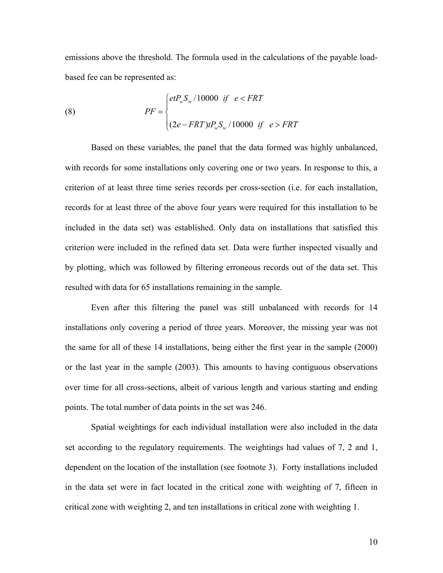emissions above the threshold. The formula used in the calculations of the payable loadbased fee can be represented as:

(8) 
$$
PF = \begin{cases} etP_w S_w / 10000 & \text{if } e < FRT \\ (2e - FRT)tP_w S_w / 10000 & \text{if } e > FRT \end{cases}
$$

Based on these variables, the panel that the data formed was highly unbalanced, with records for some installations only covering one or two years. In response to this, a criterion of at least three time series records per cross-section (i.e. for each installation, records for at least three of the above four years were required for this installation to be included in the data set) was established. Only data on installations that satisfied this criterion were included in the refined data set. Data were further inspected visually and by plotting, which was followed by filtering erroneous records out of the data set. This resulted with data for 65 installations remaining in the sample.

Even after this filtering the panel was still unbalanced with records for 14 installations only covering a period of three years. Moreover, the missing year was not the same for all of these 14 installations, being either the first year in the sample (2000) or the last year in the sample (2003). This amounts to having contiguous observations over time for all cross-sections, albeit of various length and various starting and ending points. The total number of data points in the set was 246.

Spatial weightings for each individual installation were also included in the data set according to the regulatory requirements. The weightings had values of 7, 2 and 1, dependent on the location of the installation (see footnote 3). Forty installations included in the data set were in fact located in the critical zone with weighting of 7, fifteen in critical zone with weighting 2, and ten installations in critical zone with weighting 1.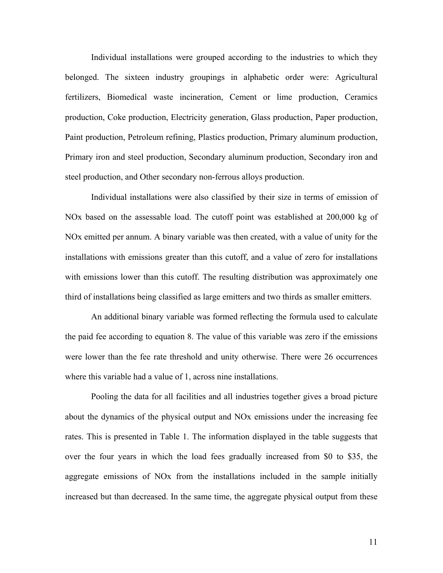Individual installations were grouped according to the industries to which they belonged. The sixteen industry groupings in alphabetic order were: Agricultural fertilizers, Biomedical waste incineration, Cement or lime production, Ceramics production, Coke production, Electricity generation, Glass production, Paper production, Paint production, Petroleum refining, Plastics production, Primary aluminum production, Primary iron and steel production, Secondary aluminum production, Secondary iron and steel production, and Other secondary non-ferrous alloys production.

Individual installations were also classified by their size in terms of emission of NOx based on the assessable load. The cutoff point was established at 200,000 kg of NOx emitted per annum. A binary variable was then created, with a value of unity for the installations with emissions greater than this cutoff, and a value of zero for installations with emissions lower than this cutoff. The resulting distribution was approximately one third of installations being classified as large emitters and two thirds as smaller emitters.

An additional binary variable was formed reflecting the formula used to calculate the paid fee according to equation 8. The value of this variable was zero if the emissions were lower than the fee rate threshold and unity otherwise. There were 26 occurrences where this variable had a value of 1, across nine installations.

Pooling the data for all facilities and all industries together gives a broad picture about the dynamics of the physical output and NOx emissions under the increasing fee rates. This is presented in Table 1. The information displayed in the table suggests that over the four years in which the load fees gradually increased from \$0 to \$35, the aggregate emissions of NOx from the installations included in the sample initially increased but than decreased. In the same time, the aggregate physical output from these

11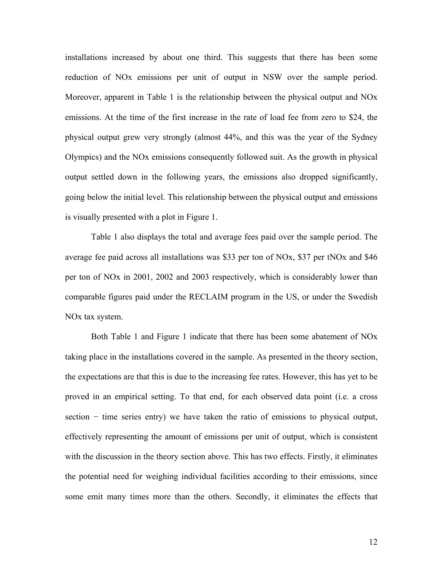installations increased by about one third. This suggests that there has been some reduction of NOx emissions per unit of output in NSW over the sample period. Moreover, apparent in Table 1 is the relationship between the physical output and NOx emissions. At the time of the first increase in the rate of load fee from zero to \$24, the physical output grew very strongly (almost 44%, and this was the year of the Sydney Olympics) and the NOx emissions consequently followed suit. As the growth in physical output settled down in the following years, the emissions also dropped significantly, going below the initial level. This relationship between the physical output and emissions is visually presented with a plot in Figure 1.

Table 1 also displays the total and average fees paid over the sample period. The average fee paid across all installations was \$33 per ton of NOx, \$37 per tNOx and \$46 per ton of NOx in 2001, 2002 and 2003 respectively, which is considerably lower than comparable figures paid under the RECLAIM program in the US, or under the Swedish NOx tax system.

Both Table 1 and Figure 1 indicate that there has been some abatement of NOx taking place in the installations covered in the sample. As presented in the theory section, the expectations are that this is due to the increasing fee rates. However, this has yet to be proved in an empirical setting. To that end, for each observed data point (i.e. a cross section – time series entry) we have taken the ratio of emissions to physical output, effectively representing the amount of emissions per unit of output, which is consistent with the discussion in the theory section above. This has two effects. Firstly, it eliminates the potential need for weighing individual facilities according to their emissions, since some emit many times more than the others. Secondly, it eliminates the effects that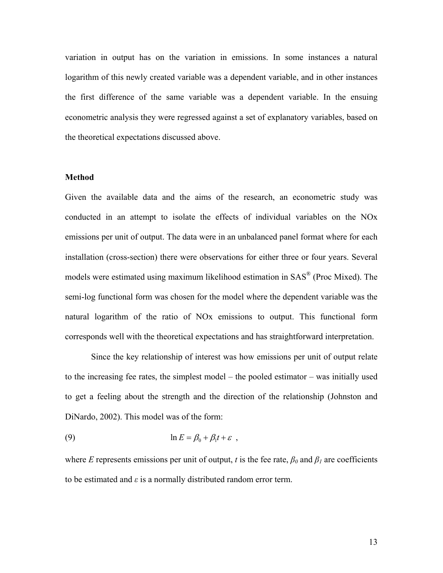variation in output has on the variation in emissions. In some instances a natural logarithm of this newly created variable was a dependent variable, and in other instances the first difference of the same variable was a dependent variable. In the ensuing econometric analysis they were regressed against a set of explanatory variables, based on the theoretical expectations discussed above.

#### **Method**

Given the available data and the aims of the research, an econometric study was conducted in an attempt to isolate the effects of individual variables on the NOx emissions per unit of output. The data were in an unbalanced panel format where for each installation (cross-section) there were observations for either three or four years. Several models were estimated using maximum likelihood estimation in SAS® (Proc Mixed). The semi-log functional form was chosen for the model where the dependent variable was the natural logarithm of the ratio of NOx emissions to output. This functional form corresponds well with the theoretical expectations and has straightforward interpretation.

Since the key relationship of interest was how emissions per unit of output relate to the increasing fee rates, the simplest model – the pooled estimator – was initially used to get a feeling about the strength and the direction of the relationship (Johnston and DiNardo, 2002). This model was of the form:

(9) 
$$
\ln E = \beta_0 + \beta_1 t + \varepsilon ,
$$

where *E* represents emissions per unit of output, *t* is the fee rate,  $\beta_0$  and  $\beta_1$  are coefficients to be estimated and  $\varepsilon$  is a normally distributed random error term.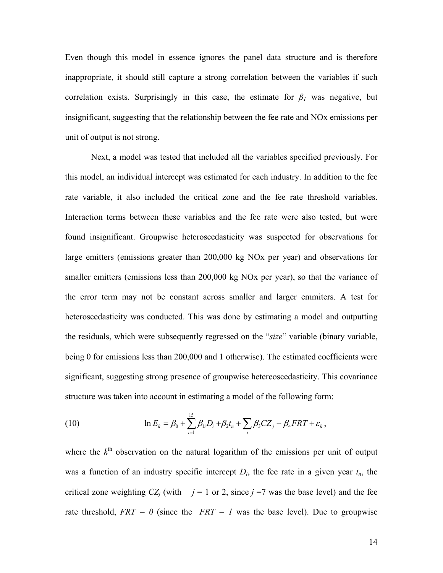Even though this model in essence ignores the panel data structure and is therefore inappropriate, it should still capture a strong correlation between the variables if such correlation exists. Surprisingly in this case, the estimate for  $\beta$ <sup>*I*</sup> was negative, but insignificant, suggesting that the relationship between the fee rate and NOx emissions per unit of output is not strong.

Next, a model was tested that included all the variables specified previously. For this model, an individual intercept was estimated for each industry. In addition to the fee rate variable, it also included the critical zone and the fee rate threshold variables. Interaction terms between these variables and the fee rate were also tested, but were found insignificant. Groupwise heteroscedasticity was suspected for observations for large emitters (emissions greater than 200,000 kg NOx per year) and observations for smaller emitters (emissions less than 200,000 kg NOx per year), so that the variance of the error term may not be constant across smaller and larger emmiters. A test for heteroscedasticity was conducted. This was done by estimating a model and outputting the residuals, which were subsequently regressed on the "*size*" variable (binary variable, being 0 for emissions less than 200,000 and 1 otherwise). The estimated coefficients were significant, suggesting strong presence of groupwise hetereoscedasticity. This covariance structure was taken into account in estimating a model of the following form:

(10) 
$$
\ln E_k = \beta_0 + \sum_{i=1}^{15} \beta_{1i} D_i + \beta_2 t_n + \sum_j \beta_3 C Z_j + \beta_4 F R T + \varepsilon_k,
$$

where the  $k<sup>th</sup>$  observation on the natural logarithm of the emissions per unit of output was a function of an industry specific intercept  $D_i$ , the fee rate in a given year  $t_n$ , the critical zone weighting  $CZ_i$  (with  $j = 1$  or 2, since  $j = 7$  was the base level) and the fee rate threshold,  $FRT = 0$  (since the  $FRT = 1$  was the base level). Due to groupwise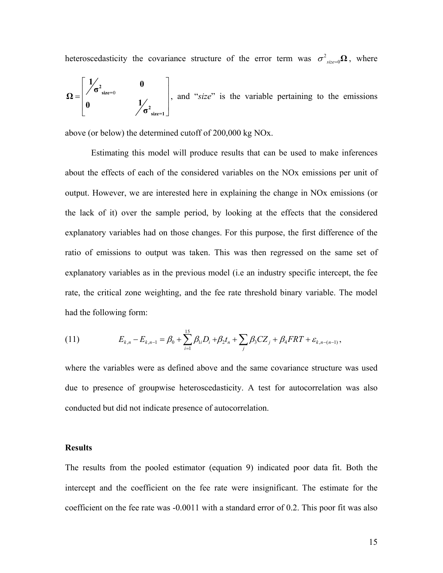heteroscedasticity the covariance structure of the error term was  $\sigma^2_{\text{green}}\Omega$ , where

$$
\Omega = \begin{bmatrix} 1/2 & 0 \\ 0 & 1/2 \end{bmatrix}
$$
, and "*size*" is the variable pertaining to the emissions

above (or below) the determined cutoff of 200,000 kg NOx.

Estimating this model will produce results that can be used to make inferences about the effects of each of the considered variables on the NOx emissions per unit of output. However, we are interested here in explaining the change in NOx emissions (or the lack of it) over the sample period, by looking at the effects that the considered explanatory variables had on those changes. For this purpose, the first difference of the ratio of emissions to output was taken. This was then regressed on the same set of explanatory variables as in the previous model (i.e an industry specific intercept, the fee rate, the critical zone weighting, and the fee rate threshold binary variable. The model had the following form:

(11) 
$$
E_{k,n} - E_{k,n-1} = \beta_0 + \sum_{i=1}^{15} \beta_{1i} D_i + \beta_2 t_n + \sum_j \beta_3 C Z_j + \beta_4 FRT + \varepsilon_{k,n-(n-1)},
$$

where the variables were as defined above and the same covariance structure was used due to presence of groupwise heteroscedasticity. A test for autocorrelation was also conducted but did not indicate presence of autocorrelation.

### **Results**

The results from the pooled estimator (equation 9) indicated poor data fit. Both the intercept and the coefficient on the fee rate were insignificant. The estimate for the coefficient on the fee rate was -0.0011 with a standard error of 0.2. This poor fit was also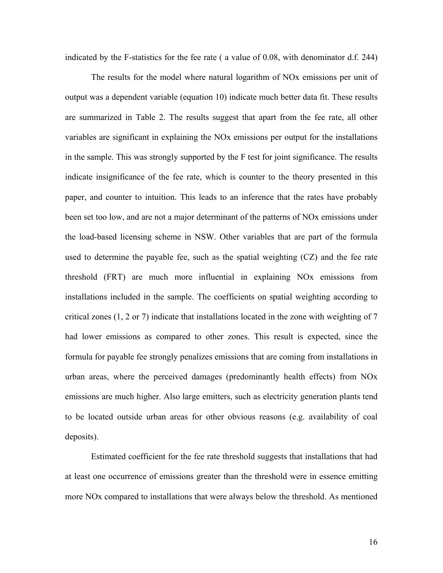indicated by the F-statistics for the fee rate ( a value of 0.08, with denominator d.f. 244)

The results for the model where natural logarithm of NOx emissions per unit of output was a dependent variable (equation 10) indicate much better data fit. These results are summarized in Table 2. The results suggest that apart from the fee rate, all other variables are significant in explaining the NOx emissions per output for the installations in the sample. This was strongly supported by the F test for joint significance. The results indicate insignificance of the fee rate, which is counter to the theory presented in this paper, and counter to intuition. This leads to an inference that the rates have probably been set too low, and are not a major determinant of the patterns of NOx emissions under the load-based licensing scheme in NSW. Other variables that are part of the formula used to determine the payable fee, such as the spatial weighting (CZ) and the fee rate threshold (FRT) are much more influential in explaining NOx emissions from installations included in the sample. The coefficients on spatial weighting according to critical zones (1, 2 or 7) indicate that installations located in the zone with weighting of 7 had lower emissions as compared to other zones. This result is expected, since the formula for payable fee strongly penalizes emissions that are coming from installations in urban areas, where the perceived damages (predominantly health effects) from NOx emissions are much higher. Also large emitters, such as electricity generation plants tend to be located outside urban areas for other obvious reasons (e.g. availability of coal deposits).

Estimated coefficient for the fee rate threshold suggests that installations that had at least one occurrence of emissions greater than the threshold were in essence emitting more NOx compared to installations that were always below the threshold. As mentioned

16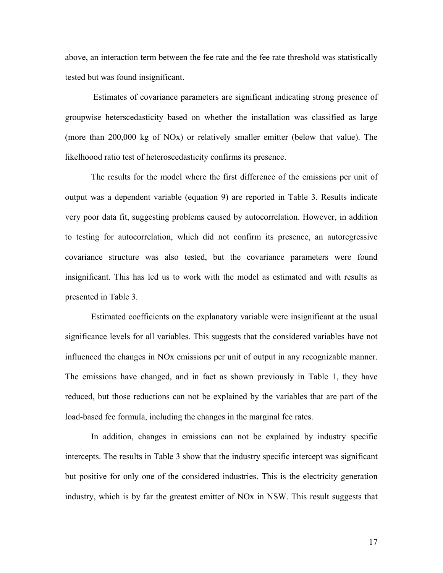above, an interaction term between the fee rate and the fee rate threshold was statistically tested but was found insignificant.

Estimates of covariance parameters are significant indicating strong presence of groupwise heterscedasticity based on whether the installation was classified as large (more than 200,000 kg of NOx) or relatively smaller emitter (below that value). The likelhoood ratio test of heteroscedasticity confirms its presence.

The results for the model where the first difference of the emissions per unit of output was a dependent variable (equation 9) are reported in Table 3. Results indicate very poor data fit, suggesting problems caused by autocorrelation. However, in addition to testing for autocorrelation, which did not confirm its presence, an autoregressive covariance structure was also tested, but the covariance parameters were found insignificant. This has led us to work with the model as estimated and with results as presented in Table 3.

Estimated coefficients on the explanatory variable were insignificant at the usual significance levels for all variables. This suggests that the considered variables have not influenced the changes in NOx emissions per unit of output in any recognizable manner. The emissions have changed, and in fact as shown previously in Table 1, they have reduced, but those reductions can not be explained by the variables that are part of the load-based fee formula, including the changes in the marginal fee rates.

In addition, changes in emissions can not be explained by industry specific intercepts. The results in Table 3 show that the industry specific intercept was significant but positive for only one of the considered industries. This is the electricity generation industry, which is by far the greatest emitter of NOx in NSW. This result suggests that

17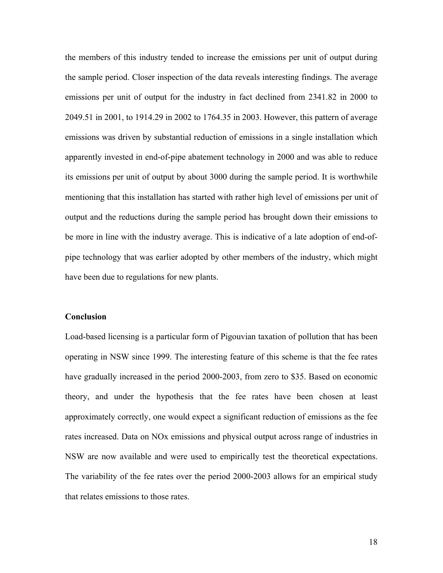the members of this industry tended to increase the emissions per unit of output during the sample period. Closer inspection of the data reveals interesting findings. The average emissions per unit of output for the industry in fact declined from 2341.82 in 2000 to 2049.51 in 2001, to 1914.29 in 2002 to 1764.35 in 2003. However, this pattern of average emissions was driven by substantial reduction of emissions in a single installation which apparently invested in end-of-pipe abatement technology in 2000 and was able to reduce its emissions per unit of output by about 3000 during the sample period. It is worthwhile mentioning that this installation has started with rather high level of emissions per unit of output and the reductions during the sample period has brought down their emissions to be more in line with the industry average. This is indicative of a late adoption of end-ofpipe technology that was earlier adopted by other members of the industry, which might have been due to regulations for new plants.

#### **Conclusion**

Load-based licensing is a particular form of Pigouvian taxation of pollution that has been operating in NSW since 1999. The interesting feature of this scheme is that the fee rates have gradually increased in the period 2000-2003, from zero to \$35. Based on economic theory, and under the hypothesis that the fee rates have been chosen at least approximately correctly, one would expect a significant reduction of emissions as the fee rates increased. Data on NOx emissions and physical output across range of industries in NSW are now available and were used to empirically test the theoretical expectations. The variability of the fee rates over the period 2000-2003 allows for an empirical study that relates emissions to those rates.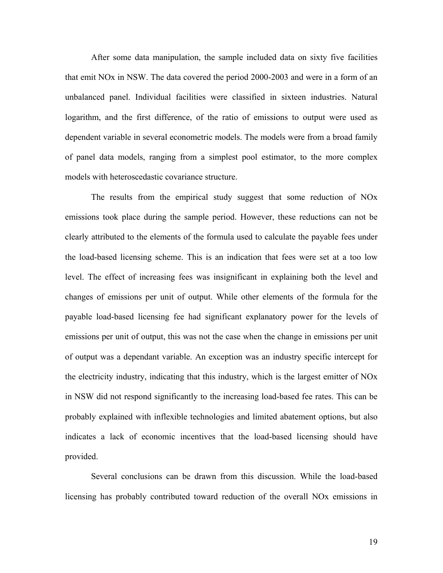After some data manipulation, the sample included data on sixty five facilities that emit NOx in NSW. The data covered the period 2000-2003 and were in a form of an unbalanced panel. Individual facilities were classified in sixteen industries. Natural logarithm, and the first difference, of the ratio of emissions to output were used as dependent variable in several econometric models. The models were from a broad family of panel data models, ranging from a simplest pool estimator, to the more complex models with heteroscedastic covariance structure.

The results from the empirical study suggest that some reduction of NOx emissions took place during the sample period. However, these reductions can not be clearly attributed to the elements of the formula used to calculate the payable fees under the load-based licensing scheme. This is an indication that fees were set at a too low level. The effect of increasing fees was insignificant in explaining both the level and changes of emissions per unit of output. While other elements of the formula for the payable load-based licensing fee had significant explanatory power for the levels of emissions per unit of output, this was not the case when the change in emissions per unit of output was a dependant variable. An exception was an industry specific intercept for the electricity industry, indicating that this industry, which is the largest emitter of NOx in NSW did not respond significantly to the increasing load-based fee rates. This can be probably explained with inflexible technologies and limited abatement options, but also indicates a lack of economic incentives that the load-based licensing should have provided.

Several conclusions can be drawn from this discussion. While the load-based licensing has probably contributed toward reduction of the overall NOx emissions in

19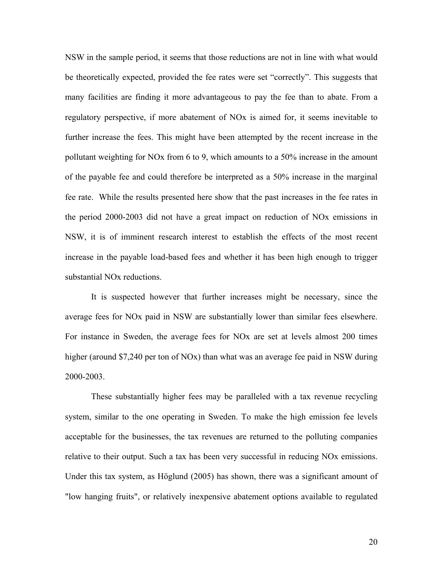NSW in the sample period, it seems that those reductions are not in line with what would be theoretically expected, provided the fee rates were set "correctly". This suggests that many facilities are finding it more advantageous to pay the fee than to abate. From a regulatory perspective, if more abatement of NOx is aimed for, it seems inevitable to further increase the fees. This might have been attempted by the recent increase in the pollutant weighting for NOx from 6 to 9, which amounts to a 50% increase in the amount of the payable fee and could therefore be interpreted as a 50% increase in the marginal fee rate. While the results presented here show that the past increases in the fee rates in the period 2000-2003 did not have a great impact on reduction of NOx emissions in NSW, it is of imminent research interest to establish the effects of the most recent increase in the payable load-based fees and whether it has been high enough to trigger substantial NOx reductions.

It is suspected however that further increases might be necessary, since the average fees for NOx paid in NSW are substantially lower than similar fees elsewhere. For instance in Sweden, the average fees for NOx are set at levels almost 200 times higher (around \$7,240 per ton of NOx) than what was an average fee paid in NSW during 2000-2003.

These substantially higher fees may be paralleled with a tax revenue recycling system, similar to the one operating in Sweden. To make the high emission fee levels acceptable for the businesses, the tax revenues are returned to the polluting companies relative to their output. Such a tax has been very successful in reducing NOx emissions. Under this tax system, as Höglund (2005) has shown, there was a significant amount of "low hanging fruits", or relatively inexpensive abatement options available to regulated

20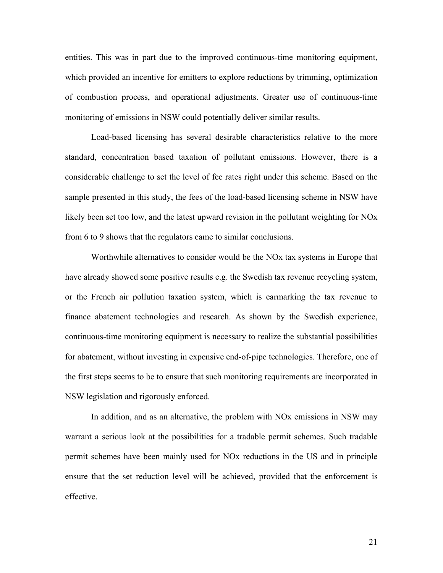entities. This was in part due to the improved continuous-time monitoring equipment, which provided an incentive for emitters to explore reductions by trimming, optimization of combustion process, and operational adjustments. Greater use of continuous-time monitoring of emissions in NSW could potentially deliver similar results.

Load-based licensing has several desirable characteristics relative to the more standard, concentration based taxation of pollutant emissions. However, there is a considerable challenge to set the level of fee rates right under this scheme. Based on the sample presented in this study, the fees of the load-based licensing scheme in NSW have likely been set too low, and the latest upward revision in the pollutant weighting for NOx from 6 to 9 shows that the regulators came to similar conclusions.

Worthwhile alternatives to consider would be the NOx tax systems in Europe that have already showed some positive results e.g. the Swedish tax revenue recycling system, or the French air pollution taxation system, which is earmarking the tax revenue to finance abatement technologies and research. As shown by the Swedish experience, continuous-time monitoring equipment is necessary to realize the substantial possibilities for abatement, without investing in expensive end-of-pipe technologies. Therefore, one of the first steps seems to be to ensure that such monitoring requirements are incorporated in NSW legislation and rigorously enforced.

In addition, and as an alternative, the problem with NOx emissions in NSW may warrant a serious look at the possibilities for a tradable permit schemes. Such tradable permit schemes have been mainly used for NOx reductions in the US and in principle ensure that the set reduction level will be achieved, provided that the enforcement is effective.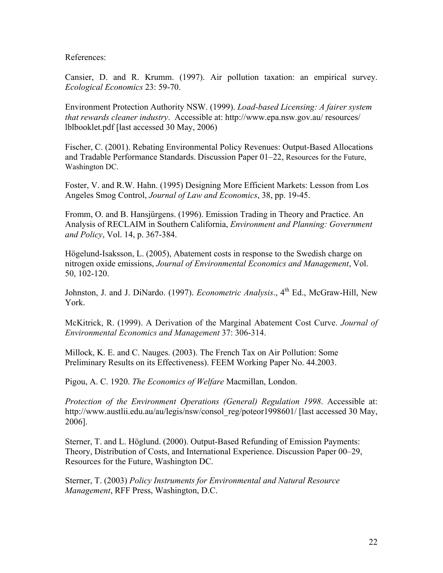References:

Cansier, D. and R. Krumm. (1997). Air pollution taxation: an empirical survey. *Ecological Economics* 23: 59-70.

Environment Protection Authority NSW. (1999). *Load-based Licensing: A fairer system that rewards cleaner industry*. Accessible at: http://www.epa.nsw.gov.au/ resources/ lblbooklet.pdf [last accessed 30 May, 2006)

Fischer, C. (2001). Rebating Environmental Policy Revenues: Output-Based Allocations and Tradable Performance Standards. Discussion Paper 01–22, Resources for the Future, Washington DC.

Foster, V. and R.W. Hahn. (1995) Designing More Efficient Markets: Lesson from Los Angeles Smog Control, *Journal of Law and Economics*, 38, pp. 19-45.

Fromm, O. and B. Hansjürgens. (1996). Emission Trading in Theory and Practice. An Analysis of RECLAIM in Southern California, *Environment and Planning: Government and Policy*, Vol. 14, p. 367-384.

Högelund-Isaksson, L. (2005), Abatement costs in response to the Swedish charge on nitrogen oxide emissions, *Journal of Environmental Economics and Management*, Vol. 50, 102-120.

Johnston, J. and J. DiNardo. (1997). *Econometric Analysis*., 4<sup>th</sup> Ed., McGraw-Hill, New York.

McKitrick, R. (1999). A Derivation of the Marginal Abatement Cost Curve. *Journal of Environmental Economics and Management* 37: 306-314.

Millock, K. E. and C. Nauges. (2003). The French Tax on Air Pollution: Some Preliminary Results on its Effectiveness). FEEM Working Paper No. 44.2003.

Pigou, A. C. 1920. *The Economics of Welfare* Macmillan, London.

*Protection of the Environment Operations (General) Regulation 1998*. Accessible at: http://www.austlii.edu.au/au/legis/nsw/consol\_reg/poteor1998601/ [last accessed 30 May, 2006].

Sterner, T. and L. Höglund. (2000). Output-Based Refunding of Emission Payments: Theory, Distribution of Costs, and International Experience. Discussion Paper 00–29, Resources for the Future, Washington DC.

Sterner, T. (2003) *Policy Instruments for Environmental and Natural Resource Management*, RFF Press, Washington, D.C.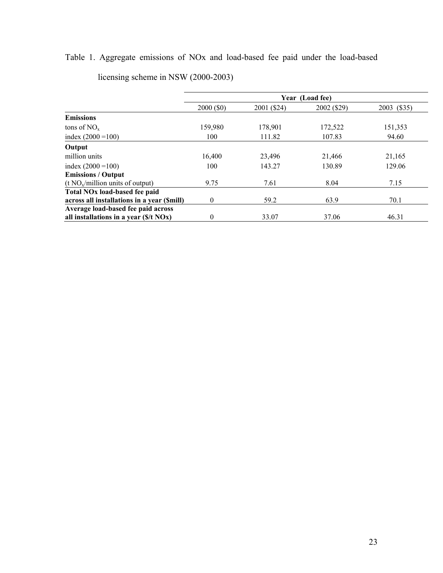# Table 1. Aggregate emissions of NOx and load-based fee paid under the load-based

|                                                  | Year (Load fee) |             |             |             |
|--------------------------------------------------|-----------------|-------------|-------------|-------------|
|                                                  | 2000 (\$0)      | 2001 (\$24) | 2002 (\$29) | 2003 (\$35) |
| <b>Emissions</b>                                 |                 |             |             |             |
| tons of $NO_{x}$                                 | 159,980         | 178,901     | 172,522     | 151,353     |
| index $(2000 = 100)$                             | 100             | 111.82      | 107.83      | 94.60       |
| Output                                           |                 |             |             |             |
| million units                                    | 16,400          | 23,496      | 21,466      | 21,165      |
| index $(2000 = 100)$                             | 100             | 143.27      | 130.89      | 129.06      |
| <b>Emissions / Output</b>                        |                 |             |             |             |
| $(t NOx/million units of output)$                | 9.75            | 7.61        | 8.04        | 7.15        |
| Total NO <sub>x</sub> load-based fee paid        |                 |             |             |             |
| across all installations in a year (\$mill)      | 0               | 59.2        | 63.9        | 70.1        |
| Average load-based fee paid across               |                 |             |             |             |
| all installations in a year $(\frac{f}{f} N Ox)$ | 0               | 33.07       | 37.06       | 46.31       |

licensing scheme in NSW (2000-2003)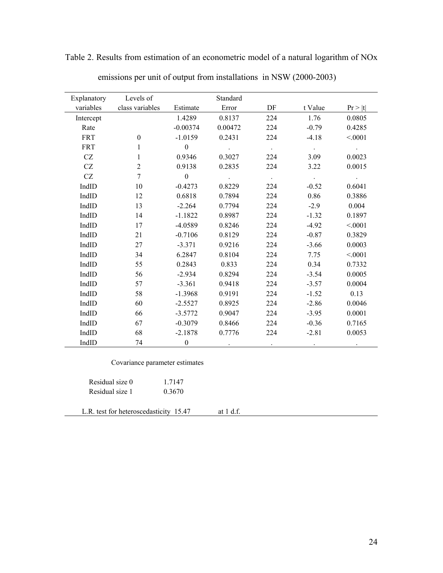| Explanatory         | Levels of        |                         | Standard   |                      |                 |            |
|---------------------|------------------|-------------------------|------------|----------------------|-----------------|------------|
| variables           | class variables  | Estimate                | Error      | DF                   | t Value         | Pr >  t    |
| Intercept           |                  | 1.4289                  | 0.8137     | 224                  | 1.76            | 0.0805     |
| Rate                |                  | $-0.00374$              | 0.00472    | 224                  | $-0.79$         | 0.4285     |
|                     |                  |                         |            |                      |                 |            |
| <b>FRT</b>          | $\mathbf{0}$     | $-1.0159$               | 0.2431     | 224                  | $-4.18$         | < 0.001    |
| <b>FRT</b>          | 1                | $\mathbf{0}$            | $\sim 100$ | $\sim 10^{-11}$      | $\sim 10^{-11}$ | $\sim 100$ |
| CZ                  | $\mathbf{1}$     | 0.9346                  | 0.3027     | 224                  | 3.09            | 0.0023     |
| CZ                  | $\overline{c}$   | 0.9138                  | 0.2835     | 224                  | 3.22            | 0.0015     |
| $\operatorname{CZ}$ | $\boldsymbol{7}$ | $\overline{\mathbf{0}}$ | $\sim 100$ | $\sim 10^{-1}$       | $\sim 100$      | $\sim 10$  |
| IndID               | 10               | $-0.4273$               | 0.8229     | 224                  | $-0.52$         | 0.6041     |
| IndID               | 12               | 0.6818                  | 0.7894     | 224                  | 0.86            | 0.3886     |
| IndID               | 13               | $-2.264$                | 0.7794     | 224                  | $-2.9$          | 0.004      |
| IndID               | 14               | $-1.1822$               | 0.8987     | 224                  | $-1.32$         | 0.1897     |
| IndID               | 17               | $-4.0589$               | 0.8246     | 224                  | $-4.92$         | < 0001     |
| IndID               | 21               | $-0.7106$               | 0.8129     | 224                  | $-0.87$         | 0.3829     |
| IndID               | 27               | $-3.371$                | 0.9216     | 224                  | $-3.66$         | 0.0003     |
| IndID               | 34               | 6.2847                  | 0.8104     | 224                  | 7.75            | < 0001     |
| IndID               | 55               | 0.2843                  | 0.833      | 224                  | 0.34            | 0.7332     |
| IndID               | 56               | $-2.934$                | 0.8294     | 224                  | $-3.54$         | 0.0005     |
| IndID               | 57               | $-3.361$                | 0.9418     | 224                  | $-3.57$         | 0.0004     |
| IndID               | 58               | $-1.3968$               | 0.9191     | 224                  | $-1.52$         | 0.13       |
| IndID               | 60               | $-2.5527$               | 0.8925     | 224                  | $-2.86$         | 0.0046     |
| IndID               | 66               | $-3.5772$               | 0.9047     | 224                  | $-3.95$         | 0.0001     |
| IndID               | 67               | $-0.3079$               | 0.8466     | 224                  | $-0.36$         | 0.7165     |
| IndID               | 68               | $-2.1878$               | 0.7776     | 224                  | $-2.81$         | 0.0053     |
| IndID               | 74               | $\boldsymbol{0}$        |            | $\ddot{\phantom{0}}$ |                 |            |

Table 2. Results from estimation of an econometric model of a natural logarithm of NOx

|  |  |  | emissions per unit of output from installations in NSW (2000-2003) |
|--|--|--|--------------------------------------------------------------------|
|  |  |  |                                                                    |
|  |  |  |                                                                    |

| Covariance parameter estimates |  |
|--------------------------------|--|
|                                |  |

| Residual size 0 | 1.7147 |
|-----------------|--------|
| Residual size 1 | 0.3670 |

L.R. test for heteroscedasticity 15.47 at 1 d.f.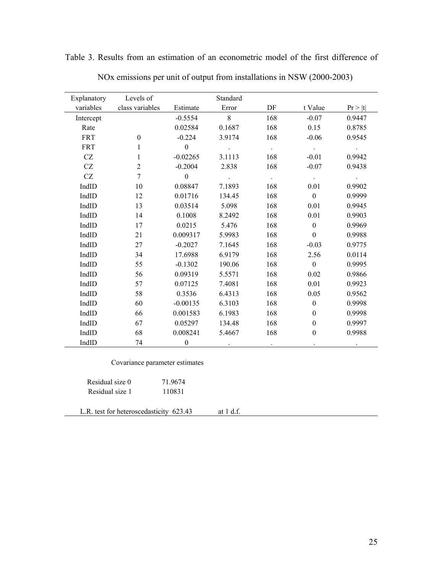| Explanatory | Levels of        |                  | Standard                  |        |                  |         |
|-------------|------------------|------------------|---------------------------|--------|------------------|---------|
| variables   | class variables  | Estimate         | Error                     | DF     | t Value          | Pr >  t |
| Intercept   |                  | $-0.5554$        | 8                         | 168    | $-0.07$          | 0.9447  |
| Rate        |                  | 0.02584          | 0.1687                    | 168    | 0.15             | 0.8785  |
| <b>FRT</b>  | $\mathbf{0}$     | $-0.224$         | 3.9174                    | 168    | $-0.06$          | 0.9545  |
| <b>FRT</b>  | 1                | $\mathbf{0}$     | $\ddot{\phantom{a}}$      | $\sim$ | $\sim$ $\sim$    |         |
| CZ          | $\mathbf{1}$     | $-0.02265$       | 3.1113                    | 168    | $-0.01$          | 0.9942  |
| CZ          | $\sqrt{2}$       | $-0.2004$        | 2.838                     | 168    | $-0.07$          | 0.9438  |
| CZ          | $\boldsymbol{7}$ | $\boldsymbol{0}$ | $\mathbb{Z}^{\mathbb{Z}}$ | $\sim$ | $\sim$           |         |
| IndID       | 10               | 0.08847          | 7.1893                    | 168    | 0.01             | 0.9902  |
| IndID       | 12               | 0.01716          | 134.45                    | 168    | $\boldsymbol{0}$ | 0.9999  |
| IndID       | 13               | 0.03514          | 5.098                     | 168    | 0.01             | 0.9945  |
| IndID       | 14               | 0.1008           | 8.2492                    | 168    | 0.01             | 0.9903  |
| IndID       | 17               | 0.0215           | 5.476                     | 168    | $\boldsymbol{0}$ | 0.9969  |
| IndID       | 21               | 0.009317         | 5.9983                    | 168    | $\boldsymbol{0}$ | 0.9988  |
| IndID       | 27               | $-0.2027$        | 7.1645                    | 168    | $-0.03$          | 0.9775  |
| IndID       | 34               | 17.6988          | 6.9179                    | 168    | 2.56             | 0.0114  |
| IndID       | 55               | $-0.1302$        | 190.06                    | 168    | $\mathbf{0}$     | 0.9995  |
| IndID       | 56               | 0.09319          | 5.5571                    | 168    | 0.02             | 0.9866  |
| IndID       | 57               | 0.07125          | 7.4081                    | 168    | 0.01             | 0.9923  |
| IndID       | 58               | 0.3536           | 6.4313                    | 168    | 0.05             | 0.9562  |
| IndID       | 60               | $-0.00135$       | 6.3103                    | 168    | $\mathbf{0}$     | 0.9998  |
| IndID       | 66               | 0.001583         | 6.1983                    | 168    | $\boldsymbol{0}$ | 0.9998  |
| IndID       | 67               | 0.05297          | 134.48                    | 168    | $\boldsymbol{0}$ | 0.9997  |
| IndID       | 68               | 0.008241         | 5.4667                    | 168    | $\overline{0}$   | 0.9988  |
| IndID       | 74               | $\boldsymbol{0}$ |                           |        |                  |         |

Table 3. Results from an estimation of an econometric model of the first difference of

|  | NOx emissions per unit of output from installations in NSW (2000-2003) |  |  |
|--|------------------------------------------------------------------------|--|--|

Covariance parameter estimates

| Residual size 0 | 71.9674 |
|-----------------|---------|
| Residual size 1 | 110831  |

L.R. test for heteroscedasticity 623.43 at 1 d.f.